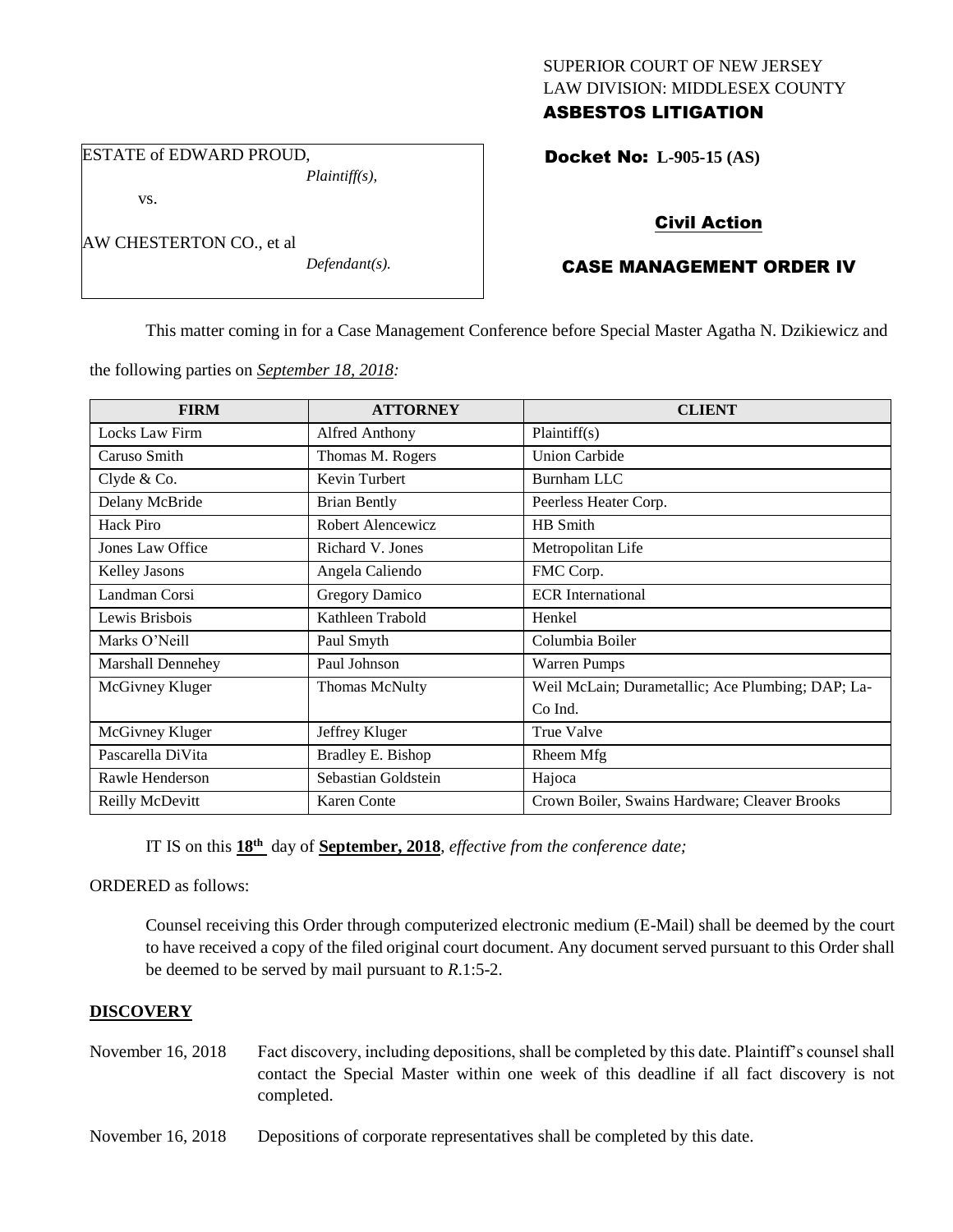## SUPERIOR COURT OF NEW JERSEY LAW DIVISION: MIDDLESEX COUNTY ASBESTOS LITIGATION

ESTATE of EDWARD PROUD, *Plaintiff(s),*

vs.

AW CHESTERTON CO., et al

*Defendant(s).*

# Docket No: **L-905-15 (AS)**

# Civil Action

# CASE MANAGEMENT ORDER IV

This matter coming in for a Case Management Conference before Special Master Agatha N. Dzikiewicz and

the following parties on *September 18, 2018:*

| <b>FIRM</b>              | <b>ATTORNEY</b>       | <b>CLIENT</b>                                     |
|--------------------------|-----------------------|---------------------------------------------------|
| Locks Law Firm           | <b>Alfred Anthony</b> | Plaintiff(s)                                      |
| Caruso Smith             | Thomas M. Rogers      | <b>Union Carbide</b>                              |
| Clyde & Co.              | Kevin Turbert         | Burnham LLC                                       |
| Delany McBride           | <b>Brian Bently</b>   | Peerless Heater Corp.                             |
| Hack Piro                | Robert Alencewicz     | HB Smith                                          |
| Jones Law Office         | Richard V. Jones      | Metropolitan Life                                 |
| Kelley Jasons            | Angela Caliendo       | FMC Corp.                                         |
| Landman Corsi            | <b>Gregory Damico</b> | <b>ECR</b> International                          |
| Lewis Brisbois           | Kathleen Trabold      | Henkel                                            |
| Marks O'Neill            | Paul Smyth            | Columbia Boiler                                   |
| <b>Marshall Dennehey</b> | Paul Johnson          | <b>Warren Pumps</b>                               |
| McGivney Kluger          | <b>Thomas McNulty</b> | Weil McLain; Durametallic; Ace Plumbing; DAP; La- |
|                          |                       | Co Ind.                                           |
| McGivney Kluger          | Jeffrey Kluger        | <b>True Valve</b>                                 |
| Pascarella DiVita        | Bradley E. Bishop     | Rheem Mfg                                         |
| Rawle Henderson          | Sebastian Goldstein   | Hajoca                                            |
| Reilly McDevitt          | Karen Conte           | Crown Boiler, Swains Hardware; Cleaver Brooks     |

IT IS on this  $18<sup>th</sup>$  day of **September, 2018**, *effective from the conference date*;

ORDERED as follows:

Counsel receiving this Order through computerized electronic medium (E-Mail) shall be deemed by the court to have received a copy of the filed original court document. Any document served pursuant to this Order shall be deemed to be served by mail pursuant to *R*.1:5-2.

#### **DISCOVERY**

- November 16, 2018 Fact discovery, including depositions, shall be completed by this date. Plaintiff's counsel shall contact the Special Master within one week of this deadline if all fact discovery is not completed.
- November 16, 2018 Depositions of corporate representatives shall be completed by this date.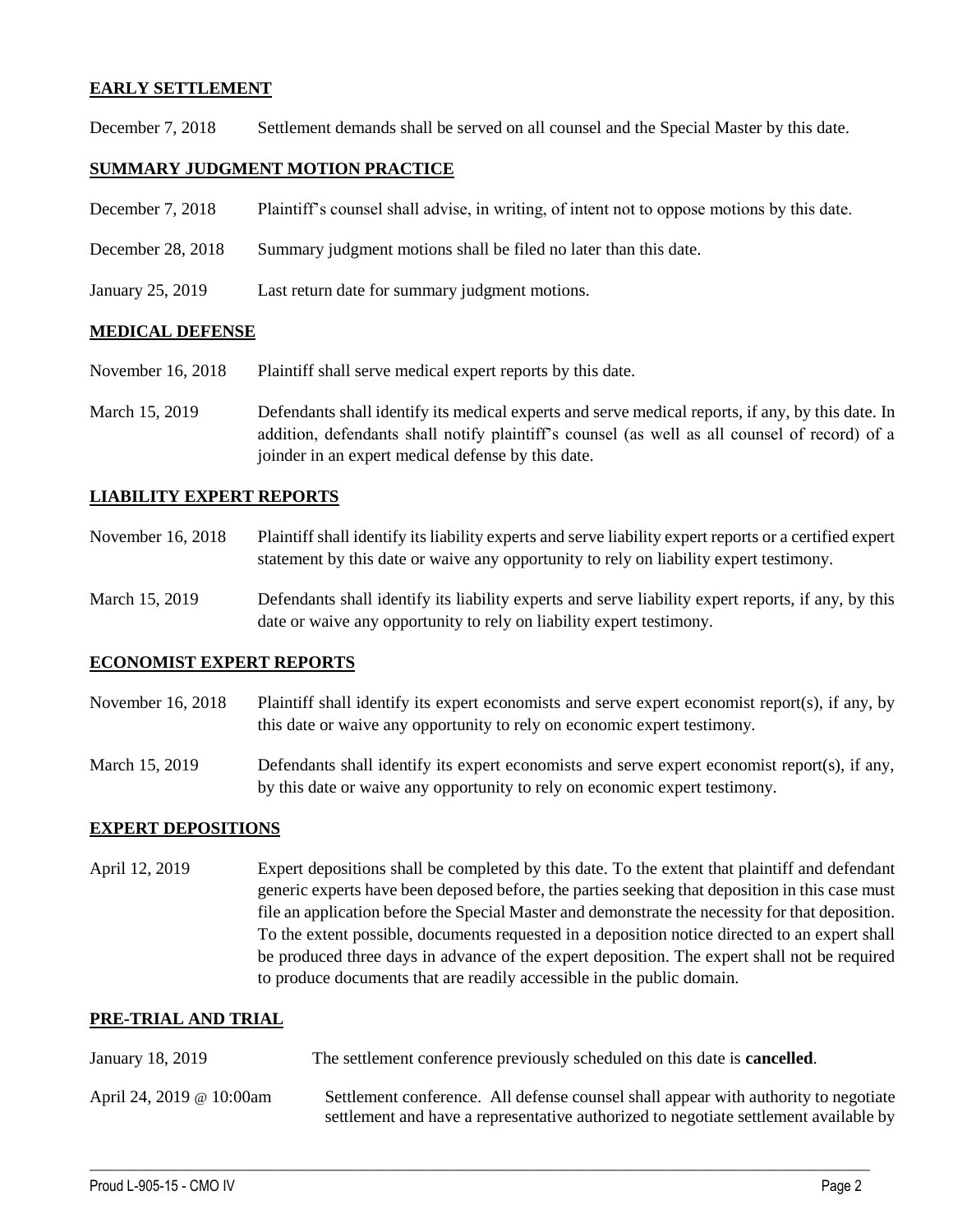#### **EARLY SETTLEMENT**

December 7, 2018 Settlement demands shall be served on all counsel and the Special Master by this date.

### **SUMMARY JUDGMENT MOTION PRACTICE**

- December 7, 2018 Plaintiff's counsel shall advise, in writing, of intent not to oppose motions by this date.
- December 28, 2018 Summary judgment motions shall be filed no later than this date.
- January 25, 2019 Last return date for summary judgment motions.

#### **MEDICAL DEFENSE**

- November 16, 2018 Plaintiff shall serve medical expert reports by this date.
- March 15, 2019 Defendants shall identify its medical experts and serve medical reports, if any, by this date. In addition, defendants shall notify plaintiff's counsel (as well as all counsel of record) of a joinder in an expert medical defense by this date.

### **LIABILITY EXPERT REPORTS**

- November 16, 2018 Plaintiff shall identify its liability experts and serve liability expert reports or a certified expert statement by this date or waive any opportunity to rely on liability expert testimony.
- March 15, 2019 Defendants shall identify its liability experts and serve liability expert reports, if any, by this date or waive any opportunity to rely on liability expert testimony.

#### **ECONOMIST EXPERT REPORTS**

- November 16, 2018 Plaintiff shall identify its expert economists and serve expert economist report(s), if any, by this date or waive any opportunity to rely on economic expert testimony.
- March 15, 2019 Defendants shall identify its expert economists and serve expert economist report(s), if any, by this date or waive any opportunity to rely on economic expert testimony.

#### **EXPERT DEPOSITIONS**

April 12, 2019 Expert depositions shall be completed by this date. To the extent that plaintiff and defendant generic experts have been deposed before, the parties seeking that deposition in this case must file an application before the Special Master and demonstrate the necessity for that deposition. To the extent possible, documents requested in a deposition notice directed to an expert shall be produced three days in advance of the expert deposition. The expert shall not be required to produce documents that are readily accessible in the public domain.

## **PRE-TRIAL AND TRIAL**

- January 18, 2019 The settlement conference previously scheduled on this date is **cancelled**.
- April 24, 2019 @ 10:00am Settlement conference. All defense counsel shall appear with authority to negotiate settlement and have a representative authorized to negotiate settlement available by

 $\_$  ,  $\_$  ,  $\_$  ,  $\_$  ,  $\_$  ,  $\_$  ,  $\_$  ,  $\_$  ,  $\_$  ,  $\_$  ,  $\_$  ,  $\_$  ,  $\_$  ,  $\_$  ,  $\_$  ,  $\_$  ,  $\_$  ,  $\_$  ,  $\_$  ,  $\_$  ,  $\_$  ,  $\_$  ,  $\_$  ,  $\_$  ,  $\_$  ,  $\_$  ,  $\_$  ,  $\_$  ,  $\_$  ,  $\_$  ,  $\_$  ,  $\_$  ,  $\_$  ,  $\_$  ,  $\_$  ,  $\_$  ,  $\_$  ,